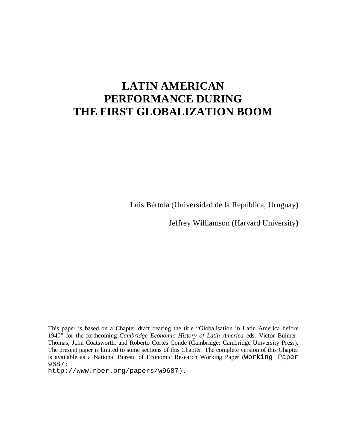# **LATIN AMERICAN PERFORMANCE DURING THE FIRST GLOBALIZATION BOOM**

Luis Bértola (Universidad de la República, Uruguay)

Jeffrey Williamson (Harvard University)

This paper is based on a Chapter draft bearing the title "Globalisation in Latin America before 1940" for the forthcoming *Cambridge Economic History of Latin America* eds. Victor Bulmer-Thomas, John Coatsworth, and Roberto Cortés Conde (Cambridge: Cambridge University Press). The present paper is limited to some sections of this Chapter. The complete version of this Chapter is available as a National Bureau of Economic Research Working Paper (Working Paper 9687;

http://www.nber.org/papers/w9687).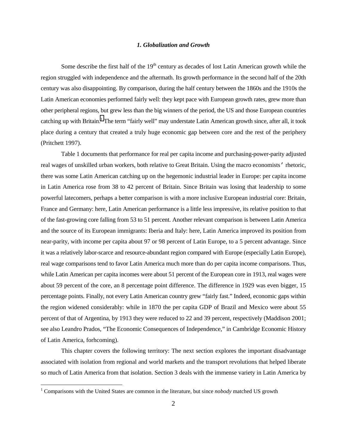#### *1. Globalization and Growth*

Some describe the first half of the  $19<sup>th</sup>$  century as decades of lost Latin American growth while the region struggled with independence and the aftermath. Its growth performance in the second half of the 20th century was also disappointing. By comparison, during the half century between the 1860s and the 1910s the Latin American economies performed fairly well: they kept pace with European growth rates, grew more than other peripheral regions, but grew less than the big winners of the period, the US and those European countries catching up with Britain.<sup>1</sup> The term "fairly well" may understate Latin American growth since, after all, it took place during a century that created a truly huge economic gap between core and the rest of the periphery (Pritchett 1997).

Table 1 documents that performance for real per capita income and purchasing-power-parity adjusted real wages of unskilled urban workers, both relative to Great Britain. Using the macro economists' rhetoric, there was some Latin American catching up on the hegemonic industrial leader in Europe: per capita income in Latin America rose from 38 to 42 percent of Britain. Since Britain was losing that leadership to some powerful latecomers, perhaps a better comparison is with a more inclusive European industrial core: Britain, France and Germany: here, Latin American performance is a little less impressive, its relative position to that of the fast-growing core falling from 53 to 51 percent. Another relevant comparison is between Latin America and the source of its European immigrants: Iberia and Italy: here, Latin America improved its position from near-parity, with income per capita about 97 or 98 percent of Latin Europe, to a 5 percent advantage. Since it was a relatively labor-scarce and resource-abundant region compared with Europe (especially Latin Europe), real wage comparisons tend to favor Latin America much more than do per capita income comparisons. Thus, while Latin American per capita incomes were about 51 percent of the European core in 1913, real wages were about 59 percent of the core, an 8 percentage point difference. The difference in 1929 was even bigger, 15 percentage points. Finally, not every Latin American country grew "fairly fast." Indeed, economic gaps within the region widened considerably: while in 1870 the per capita GDP of Brazil and Mexico were about 55 percent of that of Argentina, by 1913 they were reduced to 22 and 39 percent, respectively (Maddison 2001; see also Leandro Prados, "The Economic Consequences of Independence," in Cambridge Economic History of Latin America, forhcoming).

This chapter covers the following territory: The next section explores the important disadvantage associated with isolation from regional and world markets and the transport revolutions that helped liberate so much of Latin America from that isolation. Section 3 deals with the immense variety in Latin America by

 $\overline{a}$ 

<sup>&</sup>lt;sup>1</sup> Comparisons with the United States are common in the literature, but since *nobody* matched US growth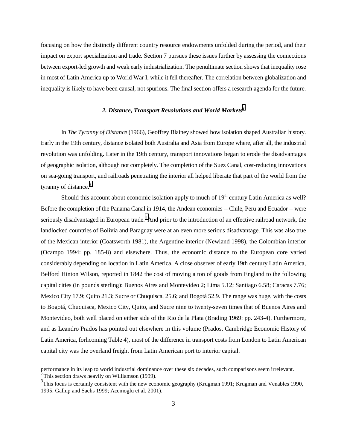focusing on how the distinctly different country resource endowments unfolded during the period, and their impact on export specialization and trade. Section 7 pursues these issues further by assessing the connections between export-led growth and weak early industrialization. The penultimate section shows that inequality rose in most of Latin America up to World War I, while it fell thereafter. The correlation between globalization and inequality is likely to have been causal, not spurious. The final section offers a research agenda for the future.

#### 2. Distance, Transport Revolutions and World Markets<sup>2</sup>

In *The Tyranny of Distance* (1966), Geoffrey Blainey showed how isolation shaped Australian history. Early in the 19th century, distance isolated both Australia and Asia from Europe where, after all, the industrial revolution was unfolding. Later in the 19th century, transport innovations began to erode the disadvantages of geographic isolation, although not completely. The completion of the Suez Canal, cost-reducing innovations on sea-going transport, and railroads penetrating the interior all helped liberate that part of the world from the tyranny of distance.<sup>3</sup>

Should this account about economic isolation apply to much of  $19<sup>th</sup>$  century Latin America as well? Before the completion of the Panama Canal in 1914, the Andean economies -- Chile, Peru and Ecuador -- were seriously disadvantaged in European trade.<sup>4</sup> And prior to the introduction of an effective railroad network, the landlocked countries of Bolivia and Paraguay were at an even more serious disadvantage. This was also true of the Mexican interior (Coatsworth 1981), the Argentine interior (Newland 1998), the Colombian interior (Ocampo 1994: pp. 185-8) and elsewhere. Thus, the economic distance to the European core varied considerably depending on location in Latin America. A close observer of early 19th century Latin America, Belford Hinton Wilson, reported in 1842 the cost of moving a ton of goods from England to the following capital cities (in pounds sterling): Buenos Aires and Montevideo 2; Lima 5.12; Santiago 6.58; Caracas 7.76; Mexico City 17.9; Quito 21.3; Sucre or Chuquisca, 25.6; and Bogotá 52.9. The range was huge, with the costs to Bogotá, Chuquisca, Mexico City, Quito, and Sucre nine to twenty-seven times that of Buenos Aires and Montevideo, both well placed on either side of the Rio de la Plata (Brading 1969: pp. 243-4). Furthermore, and as Leandro Prados has pointed out elsewhere in this volume (Prados, Cambridge Economic History of Latin America, forhcoming Table 4), most of the difference in transport costs from London to Latin American capital city was the overland freight from Latin American port to interior capital.

performance in its leap to world industrial dominance over these six decades, such comparisons seem irrelevant.  $2$ <sup>2</sup> This section draws heavily on Williamson (1999).

 $3$ This focus is certainly consistent with the new economic geography (Krugman 1991; Krugman and Venables 1990, 1995; Gallup and Sachs 1999; Acemoglu et al. 2001).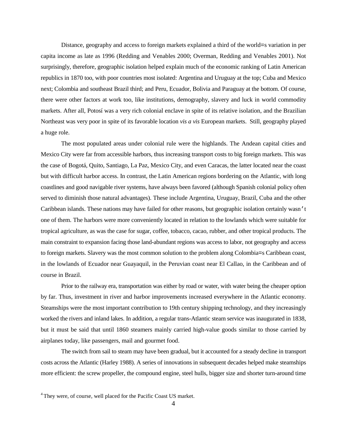Distance, geography and access to foreign markets explained a third of the world=s variation in per capita income as late as 1996 (Redding and Venables 2000; Overman, Redding and Venables 2001). Not surprisingly, therefore, geographic isolation helped explain much of the economic ranking of Latin American republics in 1870 too, with poor countries most isolated: Argentina and Uruguay at the top; Cuba and Mexico next; Colombia and southeast Brazil third; and Peru, Ecuador, Bolivia and Paraguay at the bottom. Of course, there were other factors at work too, like institutions, demography, slavery and luck in world commodity markets. After all, Potosí was a very rich colonial enclave in spite of its relative isolation, and the Brazilian Northeast was very poor in spite of its favorable location *vis a vis* European markets. Still, geography played a huge role.

The most populated areas under colonial rule were the highlands. The Andean capital cities and Mexico City were far from accessible harbors, thus increasing transport costs to big foreign markets. This was the case of Bogotá, Quito, Santiago, La Paz, Mexico City, and even Caracas, the latter located near the coast but with difficult harbor access. In contrast, the Latin American regions bordering on the Atlantic, with long coastlines and good navigable river systems, have always been favored (although Spanish colonial policy often served to diminish those natural advantages). These include Argentina, Uruguay, Brazil, Cuba and the other Caribbean islands. These nations may have failed for other reasons, but geographic isolation certainly wasn't one of them. The harbors were more conveniently located in relation to the lowlands which were suitable for tropical agriculture, as was the case for sugar, coffee, tobacco, cacao, rubber, and other tropical products. The main constraint to expansion facing those land-abundant regions was access to labor, not geography and access to foreign markets. Slavery was the most common solution to the problem along Colombia=s Caribbean coast, in the lowlands of Ecuador near Guayaquil, in the Peruvian coast near El Callao, in the Caribbean and of course in Brazil.

Prior to the railway era, transportation was either by road or water, with water being the cheaper option by far. Thus, investment in river and harbor improvements increased everywhere in the Atlantic economy. Steamships were the most important contribution to 19th century shipping technology, and they increasingly worked the rivers and inland lakes. In addition, a regular trans-Atlantic steam service was inaugurated in 1838, but it must be said that until 1860 steamers mainly carried high-value goods similar to those carried by airplanes today, like passengers, mail and gourmet food.

The switch from sail to steam may have been gradual, but it accounted for a steady decline in transport costs across the Atlantic (Harley 1988). A series of innovations in subsequent decades helped make steamships more efficient: the screw propeller, the compound engine, steel hulls, bigger size and shorter turn-around time

<sup>&</sup>lt;sup>4</sup> They were, of course, well placed for the Pacific Coast US market.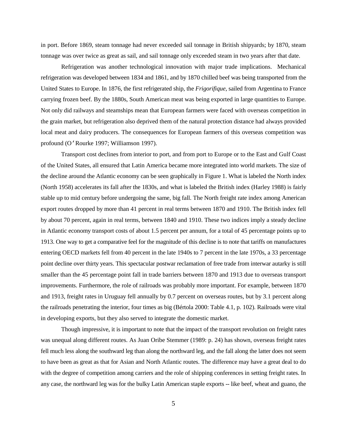in port. Before 1869, steam tonnage had never exceeded sail tonnage in British shipyards; by 1870, steam tonnage was over twice as great as sail, and sail tonnage only exceeded steam in two years after that date.

Refrigeration was another technological innovation with major trade implications. Mechanical refrigeration was developed between 1834 and 1861, and by 1870 chilled beef was being transported from the United States to Europe. In 1876, the first refrigerated ship, the *Frigorifique*, sailed from Argentina to France carrying frozen beef. By the 1880s, South American meat was being exported in large quantities to Europe. Not only did railways and steamships mean that European farmers were faced with overseas competition in the grain market, but refrigeration also deprived them of the natural protection distance had always provided local meat and dairy producers. The consequences for European farmers of this overseas competition was profound (O'Rourke 1997; Williamson 1997).

Transport cost declines from interior to port, and from port to Europe or to the East and Gulf Coast of the United States, all ensured that Latin America became more integrated into world markets. The size of the decline around the Atlantic economy can be seen graphically in Figure 1. What is labeled the North index (North 1958) accelerates its fall after the 1830s, and what is labeled the British index (Harley 1988) is fairly stable up to mid century before undergoing the same, big fall. The North freight rate index among American export routes dropped by more than 41 percent in real terms between 1870 and 1910. The British index fell by about 70 percent, again in real terms, between 1840 and 1910. These two indices imply a steady decline in Atlantic economy transport costs of about 1.5 percent per annum, for a total of 45 percentage points up to 1913. One way to get a comparative feel for the magnitude of this decline is to note that tariffs on manufactures entering OECD markets fell from 40 percent in the late 1940s to 7 percent in the late 1970s, a 33 percentage point decline over thirty years. This spectacular postwar reclamation of free trade from interwar autarky is still smaller than the 45 percentage point fall in trade barriers between 1870 and 1913 due to overseas transport improvements. Furthermore, the role of railroads was probably more important. For example, between 1870 and 1913, freight rates in Uruguay fell annually by 0.7 percent on overseas routes, but by 3.1 percent along the railroads penetrating the interior, four times as big (Bértola 2000: Table 4.1, p. 102). Railroads were vital in developing exports, but they also served to integrate the domestic market.

Though impressive, it is important to note that the impact of the transport revolution on freight rates was unequal along different routes. As Juan Oribe Stemmer (1989: p. 24) has shown, overseas freight rates fell much less along the southward leg than along the northward leg, and the fall along the latter does not seem to have been as great as that for Asian and North Atlantic routes. The difference may have a great deal to do with the degree of competition among carriers and the role of shipping conferences in setting freight rates. In any case, the northward leg was for the bulky Latin American staple exports -- like beef, wheat and guano, the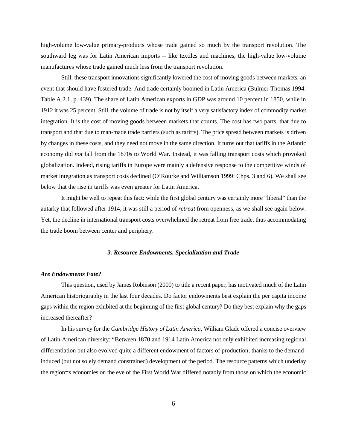high-volume low-value primary-products whose trade gained so much by the transport revolution. The southward leg was for Latin American imports -- like textiles and machines, the high-value low-volume manufactures whose trade gained much less from the transport revolution.

Still, these transport innovations significantly lowered the cost of moving goods between markets, an event that should have fostered trade. And trade certainly boomed in Latin America (Bulmer-Thomas 1994: Table A.2.1, p. 439). The share of Latin American exports in GDP was around 10 percent in 1850, while in 1912 it was 25 percent. Still, the volume of trade is not by itself a very satisfactory index of commodity market integration. It is the cost of moving goods between markets that counts. The cost has two parts, that due to transport and that due to man-made trade barriers (such as tariffs). The price spread between markets is driven by changes in these costs, and they need not move in the same direction. It turns out that tariffs in the Atlantic economy did *not* fall from the 1870s to World War. Instead, it was falling transport costs which provoked globalization. Indeed, rising tariffs in Europe were mainly a defensive response to the competitive winds of market integration as transport costs declined (O'Rourke and Williamson 1999: Chps. 3 and 6). We shall see below that the rise in tariffs was even greater for Latin America.

It might be well to repeat this fact: while the first global century was certainly more "liberal" than the autarky that followed after 1914, it was still a period of *retreat* from openness, as we shall see again below. Yet, the decline in international transport costs overwhelmed the retreat from free trade, thus accommodating the trade boom between center and periphery.

#### *3. Resource Endowments, Specialization and Trade*

#### *Are Endowments Fate?*

This question, used by James Robinson (2000) to title a recent paper, has motivated much of the Latin American historiography in the last four decades. Do factor endowments best explain the per capita income gaps within the region exhibited at the beginning of the first global century? Do they best explain why the gaps increased thereafter?

In his survey for the *Cambridge History of Latin America*, William Glade offered a concise overview of Latin American diversity: "Between 1870 and 1914 Latin America not only exhibited increasing regional differentiation but also evolved quite a different endowment of factors of production, thanks to the demandinduced (but not solely demand constrained) development of the period. The resource patterns which underlay the region=s economies on the eve of the First World War differed notably from those on which the economic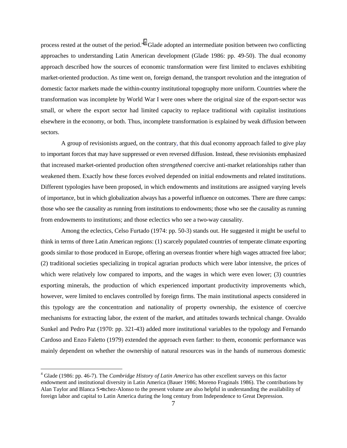process rested at the outset of the period."<sup>4</sup> Glade adopted an intermediate position between two conflicting approaches to understanding Latin American development (Glade 1986: pp. 49-50). The dual economy approach described how the sources of economic transformation were first limited to enclaves exhibiting market-oriented production. As time went on, foreign demand, the transport revolution and the integration of domestic factor markets made the within-country institutional topography more uniform. Countries where the transformation was incomplete by World War I were ones where the original size of the export-sector was small, or where the export sector had limited capacity to replace traditional with capitalist institutions elsewhere in the economy, or both. Thus, incomplete transformation is explained by weak diffusion between sectors.

A group of revisionists argued, on the contrary, that this dual economy approach failed to give play to important forces that may have suppressed or even reversed diffusion. Instead, these revisionists emphasized that increased market-oriented production often *strengthened* coercive anti-market relationships rather than weakened them. Exactly how these forces evolved depended on initial endowments and related institutions. Different typologies have been proposed, in which endowments and institutions are assigned varying levels of importance, but in which globalization always has a powerful influence on outcomes. There are three camps: those who see the causality as running from institutions to endowments; those who see the causality as running from endowments to institutions; and those eclectics who see a two-way causality.

Among the eclectics, Celso Furtado (1974: pp. 50-3) stands out. He suggested it might be useful to think in terms of three Latin American regions: (1) scarcely populated countries of temperate climate exporting goods similar to those produced in Europe, offering an overseas frontier where high wages attracted free labor; (2) traditional societies specializing in tropical agrarian products which were labor intensive, the prices of which were relatively low compared to imports, and the wages in which were even lower; (3) countries exporting minerals, the production of which experienced important productivity improvements which, however, were limited to enclaves controlled by foreign firms. The main institutional aspects considered in this typology are the concentration and nationality of property ownership, the existence of coercive mechanisms for extracting labor, the extent of the market, and attitudes towards technical change. Osvaldo Sunkel and Pedro Paz (1970: pp. 321-43) added more institutional variables to the typology and Fernando Cardoso and Enzo Faletto (1979) extended the approach even farther: to them, economic performance was mainly dependent on whether the ownership of natural resources was in the hands of numerous domestic

 $\overline{a}$ 

<sup>4</sup> Glade (1986: pp. 46-7). The *Cambridge History of Latin America* has other excellent surveys on this factor endowment and institutional diversity in Latin America (Bauer 1986; Moreno Fraginals 1986). The contributions by Alan Taylor and Blanca S<nchez-Alonso to the present volume are also helpful in understanding the availability of foreign labor and capital to Latin America during the long century from Independence to Great Depression.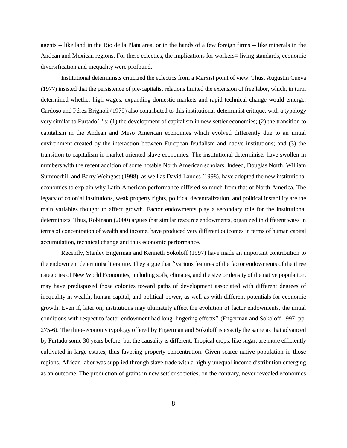agents -- like land in the Río de la Plata area, or in the hands of a few foreign firms -- like minerals in the Andean and Mexican regions. For these eclectics, the implications for workers= living standards, economic diversification and inequality were profound.

Institutional determinists criticized the eclectics from a Marxist point of view. Thus, Augustin Cueva (1977) insisted that the persistence of pre-capitalist relations limited the extension of free labor, which, in turn, determined whether high wages, expanding domestic markets and rapid technical change would emerge. Cardoso and Pérez Brignoli (1979) also contributed to this institutional-determinist critique, with a typology very similar to Furtado´'s: (1) the development of capitalism in new settler economies; (2) the transition to capitalism in the Andean and Meso American economies which evolved differently due to an initial environment created by the interaction between European feudalism and native institutions; and (3) the transition to capitalism in market oriented slave economies. The institutional determinists have swollen in numbers with the recent addition of some notable North American scholars. Indeed, Douglas North, William Summerhill and Barry Weingast (1998), as well as David Landes (1998), have adopted the new institutional economics to explain why Latin American performance differed so much from that of North America. The legacy of colonial institutions, weak property rights, political decentralization, and political instability are the main variables thought to affect growth. Factor endowments play a secondary role for the institutional determinists. Thus, Robinson (2000) argues that similar resource endowments, organized in different ways in terms of concentration of wealth and income, have produced very different outcomes in terms of human capital accumulation, technical change and thus economic performance.

Recently, Stanley Engerman and Kenneth Sokoloff (1997) have made an important contribution to the endowment determinist literature. They argue that "various features of the factor endowments of the three categories of New World Economies, including soils, climates, and the size or density of the native population, may have predisposed those colonies toward paths of development associated with different degrees of inequality in wealth, human capital, and political power, as well as with different potentials for economic growth. Even if, later on, institutions may ultimately affect the evolution of factor endowments, the initial conditions with respect to factor endowment had long, lingering effects" (Engerman and Sokoloff 1997: pp. 275-6). The three-economy typology offered by Engerman and Sokoloff is exactly the same as that advanced by Furtado some 30 years before, but the causality is different. Tropical crops, like sugar, are more efficiently cultivated in large estates, thus favoring property concentration. Given scarce native population in those regions, African labor was supplied through slave trade with a highly unequal income distribution emerging as an outcome. The production of grains in new settler societies, on the contrary, never revealed economies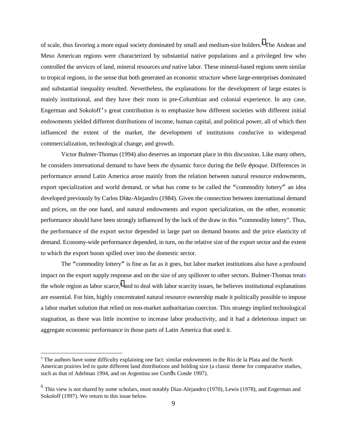of scale, thus favoring a more equal society dominated by small and medium-size holders.<sup>5</sup> The Andean and Meso American regions were characterized by substantial native populations and a privileged few who controlled the services of land, mineral resources *and* native labor. These mineral-based regions seem similar to tropical regions, in the sense that both generated an economic structure where large-enterprises dominated and substantial inequality resulted. Nevertheless, the explanations for the development of large estates is mainly institutional, and they have their roots in pre-Columbian and colonial experience. In any case, Engerman and Sokoloff's great contribution is to emphasize how different societies with different initial endowments yielded different distributions of income, human capital, and political power, all of which then influenced the extent of the market, the development of institutions conducive to widespread commercialization, technological change, and growth.

Victor Bulmer-Thomas (1994) also deserves an important place in this discussion. Like many others, he considers international demand to have been *the* dynamic force during the *belle époque*. Differences in performance around Latin America arose mainly from the relation between natural resource endowments, export specialization and world demand, or what has come to be called the "commodity lottery" an idea developed previously by Carlos Díaz-Alejandro (1984). Given the connection between international demand and prices, on the one hand, and natural endowments and export specialization, on the other, economic performance should have been strongly influenced by the luck of the draw in this "commodity lottery". Thus, the performance of the export sector depended in large part on demand booms and the price elasticity of demand. Economy-wide performance depended, in turn, on the relative size of the export sector and the extent to which the export boom spilled over into the domestic sector.

The "commodity lottery" is fine as far as it goes, but labor market institutions also have a profound impact on the export supply response and on the size of any spillover to other sectors. Bulmer-Thomas treats the whole region as labor scarce,<sup>6</sup> and to deal with labor scarcity issues, he believes institutional explanations are essential. For him, highly concentrated natural resource ownership made it politically possible to impose a labor market solution that relied on non-market authoritarian coercion. This strategy implied technological stagnation, as there was little incentive to increase labor productivity, and it had a deleterious impact on aggregate economic performance in those parts of Latin America that used it.

 $\overline{a}$ 

 $<sup>5</sup>$  The authors have some difficulty explaining one fact: similar endowments in the Río de la Plata and the North</sup> American prairies led to quite different land distributions and holding size (a classic theme for comparative studies, such as that of Adelman 1994, and on Argentina see Cort $\mathfrak{d}s$  Conde 1997).

 $<sup>6</sup>$  This view is not shared by some scholars, most notably Díaz-Alejandro (1970), Lewis (1978), and Engerman and</sup> Sokoloff (1997). We return to this issue below.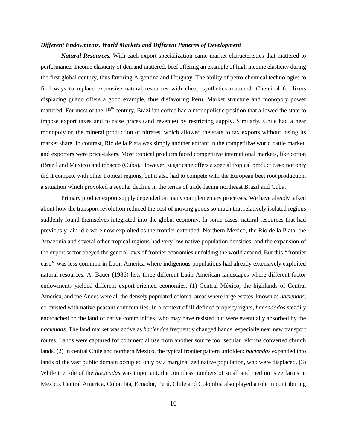#### *Different Endowments, World Markets and Different Patterns of Development*

*Natural Resources.* With each export specialization came market characteristics that mattered to performance. Income elasticity of demand mattered, beef offering an example of high income elasticity during the first global century, thus favoring Argentina and Uruguay. The ability of petro-chemical technologies to find ways to replace expensive natural resources with cheap synthetics mattered. Chemical fertilizers displacing guano offers a good example, thus disfavoring Peru. Market structure and monopoly power mattered. For most of the 19<sup>th</sup> century, Brazilian coffee had a monopolistic position that allowed the state to impose export taxes and to raise prices (and revenue) by restricting supply. Similarly, Chile had a near monopoly on the mineral production of nitrates, which allowed the state to tax exports without losing its market share. In contrast, Río de la Plata was simply another entrant in the competitive world cattle market, and exporters were price-takers. Most tropical products faced competitive international markets, like cotton (Brazil and Mexico) and tobacco (Cuba). However, sugar cane offers a special tropical product case: not only did it compete with other tropical regions, but it also had to compete with the European beet root production, a situation which provoked a secular decline in the terms of trade facing northeast Brazil and Cuba.

Primary product export supply depended on many complementary processes. We have already talked about how the transport revolution reduced the cost of moving goods so much that relatively isolated regions suddenly found themselves integrated into the global economy. In some cases, natural resources that had previously lain idle were now exploited as the frontier extended. Northern Mexico, the Río de la Plata, the Amazonia and several other tropical regions had very low native population densities, and the expansion of the export sector obeyed the general laws of frontier economies unfolding the world around. But this "frontier case" was less common in Latin America where indigenous populations had already extensively exploited natural resources. A. Bauer (1986) lists three different Latin American landscapes where different factor endowments yielded different export-oriented economies. (1) Central México, the highlands of Central America, and the Andes were all the densely populated colonial areas where large estates, known as *haciendas*, co-existed with native peasant communities. In a context of ill-defined property rights, *hacendados* steadily encroached on the land of native communities, who may have resisted but were eventually absorbed by the *haciendas*. The land market was active as *haciendas* frequently changed hands, especially near new transport routes. Lands were captured for commercial use from another source too: secular reforms converted church lands. (2) In central Chile and northern Mexico, the typical frontier pattern unfolded: *haciendas* expanded into lands of the vast public domain occupied only by a marginalized native population, who were displaced. (3) While the role of the *haciendas* was important, the countless numbers of small and medium size farms in Mexico, Central America, Colombia, Ecuador, Perú, Chile and Colombia also played a role in contributing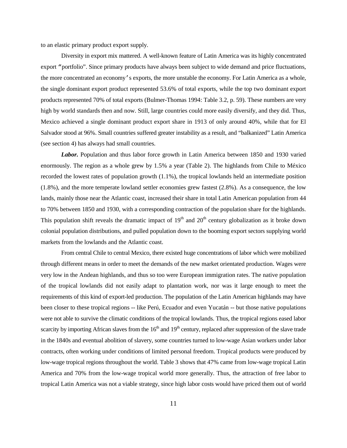to an elastic primary product export supply.

Diversity in export mix mattered. A well-known feature of Latin America was its highly concentrated export "portfolio". Since primary products have always been subject to wide demand and price fluctuations, the more concentrated an economy's exports, the more unstable the economy. For Latin America as a whole, the single dominant export product represented 53.6% of total exports, while the top two dominant export products represented 70% of total exports (Bulmer-Thomas 1994: Table 3.2, p. 59). These numbers are very high by world standards then and now. Still, large countries could more easily diversify, and they did. Thus, Mexico achieved a single dominant product export share in 1913 of only around 40%, while that for El Salvador stood at 96%. Small countries suffered greater instability as a result, and "balkanized" Latin America (see section 4) has always had small countries.

*Labor.* Population and thus labor force growth in Latin America between 1850 and 1930 varied enormously. The region as a whole grew by 1.5% a year (Table 2). The highlands from Chile to México recorded the lowest rates of population growth (1.1%), the tropical lowlands held an intermediate position (1.8%), and the more temperate lowland settler economies grew fastest (2.8%). As a consequence, the low lands, mainly those near the Atlantic coast, increased their share in total Latin American population from 44 to 70% between 1850 and 1930, with a corresponding contraction of the population share for the highlands. This population shift reveals the dramatic impact of  $19<sup>th</sup>$  and  $20<sup>th</sup>$  century globalization as it broke down colonial population distributions, and pulled population down to the booming export sectors supplying world markets from the lowlands and the Atlantic coast.

From central Chile to central Mexico, there existed huge concentrations of labor which were mobilized through different means in order to meet the demands of the new market orientated production. Wages were very low in the Andean highlands, and thus so too were European immigration rates. The native population of the tropical lowlands did not easily adapt to plantation work, nor was it large enough to meet the requirements of this kind of export-led production. The population of the Latin American highlands may have been closer to these tropical regions -- like Perú, Ecuador and even Yucatán -- but those native populations were not able to survive the climatic conditions of the tropical lowlands. Thus, the tropical regions eased labor scarcity by importing African slaves from the  $16<sup>th</sup>$  and  $19<sup>th</sup>$  century, replaced after suppression of the slave trade in the 1840s and eventual abolition of slavery, some countries turned to low-wage Asian workers under labor contracts, often working under conditions of limited personal freedom. Tropical products were produced by low-wage tropical regions throughout the world. Table 3 shows that 47% came from low-wage tropical Latin America and 70% from the low-wage tropical world more generally. Thus, the attraction of free labor to tropical Latin America was not a viable strategy, since high labor costs would have priced them out of world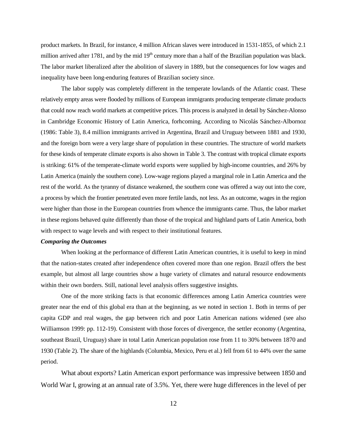product markets. In Brazil, for instance, 4 million African slaves were introduced in 1531-1855, of which 2.1 million arrived after 1781, and by the mid  $19<sup>th</sup>$  century more than a half of the Brazilian population was black. The labor market liberalized after the abolition of slavery in 1889, but the consequences for low wages and inequality have been long-enduring features of Brazilian society since.

The labor supply was completely different in the temperate lowlands of the Atlantic coast. These relatively empty areas were flooded by millions of European immigrants producing temperate climate products that could now reach world markets at competitive prices. This process is analyzed in detail by Sánchez-Alonso in Cambridge Economic History of Latin America, forhcoming. According to Nicolás Sánchez-Albornoz (1986: Table 3), 8.4 million immigrants arrived in Argentina, Brazil and Uruguay between 1881 and 1930, and the foreign born were a very large share of population in these countries. The structure of world markets for these kinds of temperate climate exports is also shown in Table 3. The contrast with tropical climate exports is striking: 61% of the temperate-climate world exports were supplied by high-income countries, and 26% by Latin America (mainly the southern cone). Low-wage regions played a marginal role in Latin America and the rest of the world. As the tyranny of distance weakened, the southern cone was offered a way out into the core, a process by which the frontier penetrated even more fertile lands, not less. As an outcome, wages in the region were higher than those in the European countries from whence the immigrants came. Thus, the labor market in these regions behaved quite differently than those of the tropical and highland parts of Latin America, both with respect to wage levels and with respect to their institutional features.

#### *Comparing the Outcomes*

When looking at the performance of different Latin American countries, it is useful to keep in mind that the nation-states created after independence often covered more than one region. Brazil offers the best example, but almost all large countries show a huge variety of climates and natural resource endowments within their own borders. Still, national level analysis offers suggestive insights.

One of the more striking facts is that economic differences among Latin America countries were greater near the end of this global era than at the beginning, as we noted in section 1. Both in terms of per capita GDP and real wages, the gap between rich and poor Latin American nations widened (see also Williamson 1999: pp. 112-19). Consistent with those forces of divergence, the settler economy (Argentina, southeast Brazil, Uruguay) share in total Latin American population rose from 11 to 30% between 1870 and 1930 (Table 2). The share of the highlands (Columbia, Mexico, Peru et al.) fell from 61 to 44% over the same period.

What about exports? Latin American export performance was impressive between 1850 and World War I, growing at an annual rate of 3.5%. Yet, there were huge differences in the level of per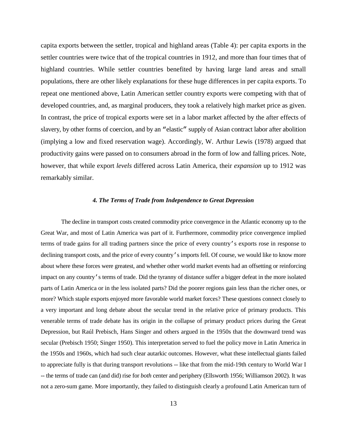capita exports between the settler, tropical and highland areas (Table 4): per capita exports in the settler countries were twice that of the tropical countries in 1912, and more than four times that of highland countries. While settler countries benefited by having large land areas and small populations, there are other likely explanations for these huge differences in per capita exports. To repeat one mentioned above, Latin American settler country exports were competing with that of developed countries, and, as marginal producers, they took a relatively high market price as given. In contrast, the price of tropical exports were set in a labor market affected by the after effects of slavery, by other forms of coercion, and by an "elastic" supply of Asian contract labor after abolition (implying a low and fixed reservation wage). Accordingly, W. Arthur Lewis (1978) argued that productivity gains were passed on to consumers abroad in the form of low and falling prices. Note, however, that while export *levels* differed across Latin America, their *expansion* up to 1912 was remarkably similar.

#### *4. The Terms of Trade from Independence to Great Depression*

The decline in transport costs created commodity price convergence in the Atlantic economy up to the Great War, and most of Latin America was part of it. Furthermore, commodity price convergence implied terms of trade gains for all trading partners since the price of every country's exports rose in response to declining transport costs, and the price of every country's imports fell. Of course, we would like to know more about where these forces were greatest, and whether other world market events had an offsetting or reinforcing impact on any country's terms of trade. Did the tyranny of distance suffer a bigger defeat in the more isolated parts of Latin America or in the less isolated parts? Did the poorer regions gain less than the richer ones, or more? Which staple exports enjoyed more favorable world market forces? These questions connect closely to a very important and long debate about the secular trend in the relative price of primary products. This venerable terms of trade debate has its origin in the collapse of primary product prices during the Great Depression, but Raúl Prebisch, Hans Singer and others argued in the 1950s that the downward trend was secular (Prebisch 1950; Singer 1950). This interpretation served to fuel the policy move in Latin America in the 1950s and 1960s, which had such clear autarkic outcomes. However, what these intellectual giants failed to appreciate fully is that during transport revolutions -- like that from the mid-19th century to World War I -- the terms of trade can (and did) rise for *both* center and periphery (Ellsworth 1956; Williamson 2002). It was not a zero-sum game. More importantly, they failed to distinguish clearly a profound Latin American turn of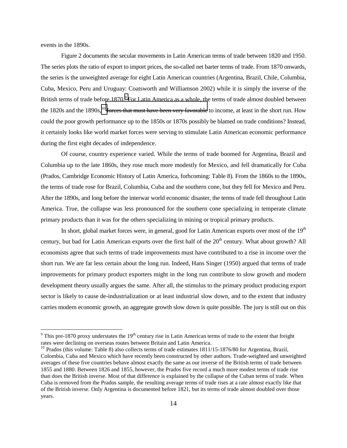events in the 1890s.

 $\overline{a}$ 

Figure 2 documents the secular movements in Latin American terms of trade between 1820 and 1950. The series plots the ratio of export to import prices, the so-called net barter terms of trade. From 1870 onwards, the series is the unweighted average for eight Latin American countries (Argentina, Brazil, Chile, Columbia, Cuba, Mexico, Peru and Uruguay: Coatsworth and Williamson 2002) while it is simply the inverse of the British terms of trade before 1870.<sup>9</sup> For Latin America as a whole, the terms of trade almost doubled between the 1820s and the 1890s,<sup>10</sup> forces that must have been very favorable to income, at least in the short run. How could the poor growth performance up to the 1850s or 1870s possibly be blamed on trade conditions? Instead, it certainly looks like world market forces were serving to stimulate Latin American economic performance during the first eight decades of independence.

Of course, country experience varied. While the terms of trade boomed for Argentina, Brazil and Columbia up to the late 1860s, they rose much more modestly for Mexico, and fell dramatically for Cuba (Prados, Cambridge Economic History of Latin America, forhcoming: Table 8). From the 1860s to the 1890s, the terms of trade rose for Brazil, Columbia, Cuba and the southern cone, but they fell for Mexico and Peru. After the 1890s, and long before the interwar world economic disaster, the terms of trade fell throughout Latin America. True, the collapse was less pronounced for the southern cone specializing in temperate climate primary products than it was for the others specializing in mining or tropical primary products.

In short, global market forces were, in general, good for Latin American exports over most of the  $19<sup>th</sup>$ century, but bad for Latin American exports over the first half of the  $20<sup>th</sup>$  century. What about growth? All economists agree that such terms of trade improvements must have contributed to a rise in income over the short run. We are far less certain about the long run. Indeed, Hans Singer (1950) argued that terms of trade improvements for primary product exporters might in the long run contribute to slow growth and modern development theory usually argues the same. After all, the stimulus to the primary product producing export sector is likely to cause de-industrialization or at least industrial slow down, and to the extent that industry carries modern economic growth, an aggregate growth slow down is quite possible. The jury is still out on this

<sup>&</sup>lt;sup>9</sup> This pre-1870 proxy understates the 19<sup>th</sup> century rise in Latin American terms of trade to the extent that freight rates were declining on overseas routes between Britain and Latin America.

<sup>&</sup>lt;sup>10</sup> Prados (this volume: Table 8) also collects terms of trade estimates 1811/15-1876/80 for Argentina, Brazil, Colombia, Cuba and Mexico which have recently been constructed by other authors. Trade-weighted and unweighted averages of these five countries behave almost exactly the same as our inverse of the British terms of trade between 1855 and 1880. Between 1826 and 1855, however, the Prados five record a much more modest terms of trade rise than does the British inverse. Most of that difference is explained by the collapse of the Cuban terms of trade. When Cuba is removed from the Prados sample, the resulting average terms of trade rises at a rate almost exactly like that of the British inverse. Only Argentina is documented before 1821, but its terms of trade almost doubled over those years.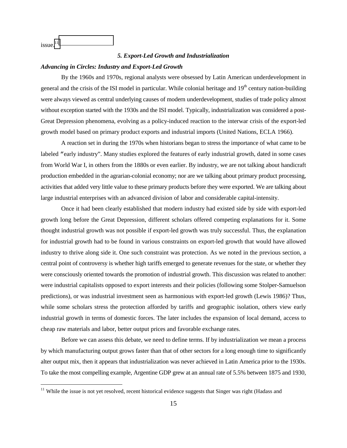$i$ ssue. $11$ 

 $\overline{a}$ 

#### *5. Export-Led Growth and Industrialization*

#### *Advancing in Circles: Industry and Export-Led Growth*

By the 1960s and 1970s, regional analysts were obsessed by Latin American underdevelopment in general and the crisis of the ISI model in particular. While colonial heritage and  $19<sup>th</sup>$  century nation-building were always viewed as central underlying causes of modern underdevelopment, studies of trade policy almost without exception started with the 1930s and the ISI model. Typically, industrialization was considered a post-Great Depression phenomena, evolving as a policy-induced reaction to the interwar crisis of the export-led growth model based on primary product exports and industrial imports (United Nations, ECLA 1966).

A reaction set in during the 1970s when historians began to stress the importance of what came to be labeled "early industry". Many studies explored the features of early industrial growth, dated in some cases from World War I, in others from the 1880s or even earlier. By industry, we are not talking about handicraft production embedded in the agrarian-colonial economy; nor are we talking about primary product processing, activities that added very little value to these primary products before they were exported. We are talking about large industrial enterprises with an advanced division of labor and considerable capital-intensity.

Once it had been clearly established that modern industry had existed side by side with export-led growth long before the Great Depression, different scholars offered competing explanations for it. Some thought industrial growth was not possible if export-led growth was truly successful. Thus, the explanation for industrial growth had to be found in various constraints on export-led growth that would have allowed industry to thrive along side it. One such constraint was protection. As we noted in the previous section, a central point of controversy is whether high tariffs emerged to generate revenues for the state, or whether they were consciously oriented towards the promotion of industrial growth. This discussion was related to another: were industrial capitalists opposed to export interests and their policies (following some Stolper-Samuelson predictions), or was industrial investment seen as harmonious with export-led growth (Lewis 1986)? Thus, while some scholars stress the protection afforded by tariffs and geographic isolation, others view early industrial growth in terms of domestic forces. The later includes the expansion of local demand, access to cheap raw materials and labor, better output prices and favorable exchange rates.

Before we can assess this debate, we need to define terms. If by industrialization we mean a process by which manufacturing output grows faster than that of other sectors for a long enough time to significantly alter output mix, then it appears that industrialization was never achieved in Latin America prior to the 1930s. To take the most compelling example, Argentine GDP grew at an annual rate of 5.5% between 1875 and 1930,

 $11$  While the issue is not yet resolved, recent historical evidence suggests that Singer was right (Hadass and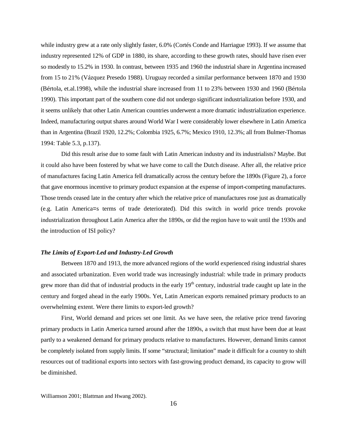while industry grew at a rate only slightly faster, 6.0% (Cortés Conde and Harriague 1993). If we assume that industry represented 12% of GDP in 1880, its share, according to these growth rates, should have risen ever so modestly to 15.2% in 1930. In contrast, between 1935 and 1960 the industrial share in Argentina increased from 15 to 21% (Vázquez Presedo 1988). Uruguay recorded a similar performance between 1870 and 1930 (Bértola, et.al.1998), while the industrial share increased from 11 to 23% between 1930 and 1960 (Bértola 1990). This important part of the southern cone did not undergo significant industrialization before 1930, and it seems unlikely that other Latin American countries underwent a more dramatic industrialization experience. Indeed, manufacturing output shares around World War I were considerably lower elsewhere in Latin America than in Argentina (Brazil 1920, 12.2%; Colombia 1925, 6.7%; Mexico 1910, 12.3%; all from Bulmer-Thomas 1994: Table 5.3, p.137).

Did this result arise due to some fault with Latin American industry and its industrialists? Maybe. But it could also have been fostered by what we have come to call the Dutch disease. After all, the relative price of manufactures facing Latin America fell dramatically across the century before the 1890s (Figure 2), a force that gave enormous incentive to primary product expansion at the expense of import-competing manufactures. Those trends ceased late in the century after which the relative price of manufactures rose just as dramatically (e.g. Latin America=s terms of trade deteriorated). Did this switch in world price trends provoke industrialization throughout Latin America after the 1890s, or did the region have to wait until the 1930s and the introduction of ISI policy?

#### *The Limits of Export-Led and Industry-Led Growth*

Between 1870 and 1913, the more advanced regions of the world experienced rising industrial shares and associated urbanization. Even world trade was increasingly industrial: while trade in primary products grew more than did that of industrial products in the early  $19<sup>th</sup>$  century, industrial trade caught up late in the century and forged ahead in the early 1900s. Yet, Latin American exports remained primary products to an overwhelming extent. Were there limits to export-led growth?

First, World demand and prices set one limit. As we have seen, the relative price trend favoring primary products in Latin America turned around after the 1890s, a switch that must have been due at least partly to a weakened demand for primary products relative to manufactures. However, demand limits cannot be completely isolated from supply limits. If some "structural; limitation" made it difficult for a country to shift resources out of traditional exports into sectors with fast-growing product demand, its capacity to grow will be diminished.

Williamson 2001; Blattman and Hwang 2002).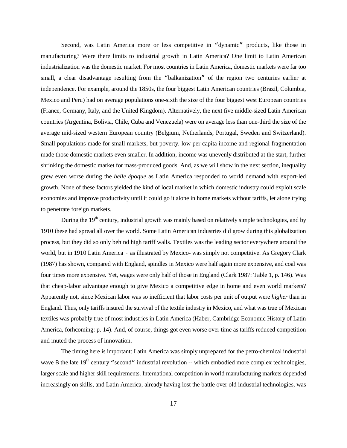Second, was Latin America more or less competitive in "dynamic" products, like those in manufacturing? Were there limits to industrial growth in Latin America? One limit to Latin American industrialization was the domestic market. For most countries in Latin America, domestic markets were far too small, a clear disadvantage resulting from the "balkanization" of the region two centuries earlier at independence. For example, around the 1850s, the four biggest Latin American countries (Brazil, Columbia, Mexico and Peru) had on average populations one-sixth the size of the four biggest west European countries (France, Germany, Italy, and the United Kingdom). Alternatively, the next five middle-sized Latin American countries (Argentina, Bolivia, Chile, Cuba and Venezuela) were on average less than one-third the size of the average mid-sized western European country (Belgium, Netherlands, Portugal, Sweden and Switzerland). Small populations made for small markets, but poverty, low per capita income and regional fragmentation made those domestic markets even smaller. In addition, income was unevenly distributed at the start, further shrinking the domestic market for mass-produced goods. And, as we will show in the next section, inequality grew even worse during the *belle époque* as Latin America responded to world demand with export-led growth. None of these factors yielded the kind of local market in which domestic industry could exploit scale economies and improve productivity until it could go it alone in home markets without tariffs, let alone trying to penetrate foreign markets.

During the 19<sup>th</sup> century, industrial growth was mainly based on relatively simple technologies, and by 1910 these had spread all over the world. Some Latin American industries did grow during this globalization process, but they did so only behind high tariff walls. Textiles was the leading sector everywhere around the world, but in 1910 Latin America - as illustrated by Mexico- was simply not competitive. As Gregory Clark (1987) has shown, compared with England, spindles in Mexico were half again more expensive, and coal was four times more expensive. Yet, wages were only half of those in England (Clark 1987: Table 1, p. 146). Was that cheap-labor advantage enough to give Mexico a competitive edge in home and even world markets? Apparently not, since Mexican labor was so inefficient that labor costs per unit of output were *higher* than in England. Thus, only tariffs insured the survival of the textile industry in Mexico, and what was true of Mexican textiles was probably true of most industries in Latin America (Haber, Cambridge Economic History of Latin America, forhcoming: p. 14). And, of course, things got even worse over time as tariffs reduced competition and muted the process of innovation.

The timing here is important: Latin America was simply unprepared for the petro-chemical industrial wave B the late  $19<sup>th</sup>$  century "second" industrial revolution -- which embodied more complex technologies, larger scale and higher skill requirements. International competition in world manufacturing markets depended increasingly on skills, and Latin America, already having lost the battle over old industrial technologies, was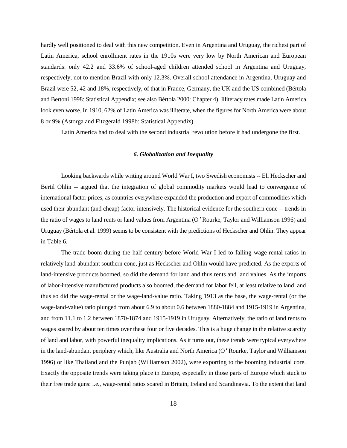hardly well positioned to deal with this new competition. Even in Argentina and Uruguay, the richest part of Latin America, school enrollment rates in the 1910s were very low by North American and European standards: only 42.2 and 33.6% of school-aged children attended school in Argentina and Uruguay, respectively, not to mention Brazil with only 12.3%. Overall school attendance in Argentina, Uruguay and Brazil were 52, 42 and 18%, respectively, of that in France, Germany, the UK and the US combined (Bértola and Bertoni 1998: Statistical Appendix; see also Bértola 2000: Chapter 4). Illiteracy rates made Latin America look even worse. In 1910, 62% of Latin America was illiterate, when the figures for North America were about 8 or 9% (Astorga and Fitzgerald 1998b: Statistical Appendix).

Latin America had to deal with the second industrial revolution before it had undergone the first.

#### *6. Globalization and Inequality*

Looking backwards while writing around World War I, two Swedish economists -- Eli Heckscher and Bertil Ohlin -- argued that the integration of global commodity markets would lead to convergence of international factor prices, as countries everywhere expanded the production and export of commodities which used their abundant (and cheap) factor intensively. The historical evidence for the southern cone -- trends in the ratio of wages to land rents or land values from Argentina (O'Rourke, Taylor and Williamson 1996) and Uruguay (Bértola et al. 1999) seems to be consistent with the predictions of Heckscher and Ohlin. They appear in Table 6.

The trade boom during the half century before World War I led to falling wage-rental ratios in relatively land-abundant southern cone, just as Heckscher and Ohlin would have predicted. As the exports of land-intensive products boomed, so did the demand for land and thus rents and land values. As the imports of labor-intensive manufactured products also boomed, the demand for labor fell, at least relative to land, and thus so did the wage-rental or the wage-land-value ratio. Taking 1913 as the base, the wage-rental (or the wage-land-value) ratio plunged from about 6.9 to about 0.6 between 1880-1884 and 1915-1919 in Argentina, and from 11.1 to 1.2 between 1870-1874 and 1915-1919 in Uruguay. Alternatively, the ratio of land rents to wages soared by about ten times over these four or five decades. This is a huge change in the relative scarcity of land and labor, with powerful inequality implications. As it turns out, these trends were typical everywhere in the land-abundant periphery which, like Australia and North America (O'Rourke, Taylor and Williamson 1996) or like Thailand and the Punjab (Williamson 2002), were exporting to the booming industrial core. Exactly the opposite trends were taking place in Europe, especially in those parts of Europe which stuck to their free trade guns: i.e., wage-rental ratios soared in Britain, Ireland and Scandinavia. To the extent that land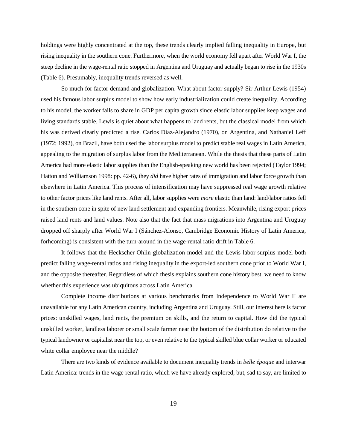holdings were highly concentrated at the top, these trends clearly implied falling inequality in Europe, but rising inequality in the southern cone. Furthermore, when the world economy fell apart after World War I, the steep decline in the wage-rental ratio stopped in Argentina and Uruguay and actually began to rise in the 1930s (Table 6). Presumably, inequality trends reversed as well.

So much for factor demand and globalization. What about factor supply? Sir Arthur Lewis (1954) used his famous labor surplus model to show how early industrialization could create inequality. According to his model, the worker fails to share in GDP per capita growth since elastic labor supplies keep wages and living standards stable. Lewis is quiet about what happens to land rents, but the classical model from which his was derived clearly predicted a rise. Carlos Diaz-Alejandro (1970), on Argentina, and Nathaniel Leff (1972; 1992), on Brazil, have both used the labor surplus model to predict stable real wages in Latin America, appealing to the migration of surplus labor from the Mediterranean. While the thesis that these parts of Latin America had more elastic labor supplies than the English-speaking new world has been rejected (Taylor 1994; Hatton and Williamson 1998: pp. 42-6), they *did* have higher rates of immigration and labor force growth than elsewhere in Latin America. This process of intensification may have suppressed real wage growth relative to other factor prices like land rents. After all, labor supplies were *more* elastic than land: land/labor ratios fell in the southern cone in spite of new land settlement and expanding frontiers. Meanwhile, rising export prices raised land rents and land values. Note also that the fact that mass migrations into Argentina and Uruguay dropped off sharply after World War I (Sánchez-Alonso, Cambridge Economic History of Latin America, forhcoming) is consistent with the turn-around in the wage-rental ratio drift in Table 6.

It follows that the Heckscher-Ohlin globalization model and the Lewis labor-surplus model both predict falling wage-rental ratios and rising inequality in the export-led southern cone prior to World War I, and the opposite thereafter. Regardless of which thesis explains southern cone history best, we need to know whether this experience was ubiquitous across Latin America.

Complete income distributions at various benchmarks from Independence to World War II are unavailable for any Latin American country, including Argentina and Uruguay. Still, our interest here is factor prices: unskilled wages, land rents, the premium on skills, and the return to capital. How did the typical unskilled worker, landless laborer or small scale farmer near the bottom of the distribution do relative to the typical landowner or capitalist near the top, or even relative to the typical skilled blue collar worker or educated white collar employee near the middle?

There are two kinds of evidence available to document inequality trends in *belle époque* and interwar Latin America: trends in the wage-rental ratio, which we have already explored, but, sad to say, are limited to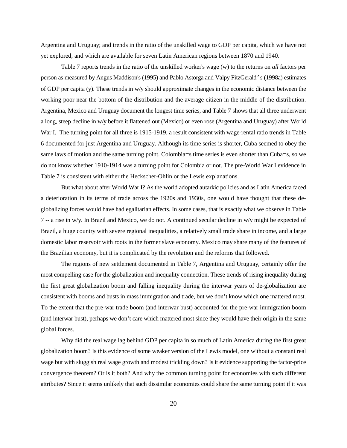Argentina and Uruguay; and trends in the ratio of the unskilled wage to GDP per capita, which we have not yet explored, and which are available for seven Latin American regions between 1870 and 1940.

Table 7 reports trends in the ratio of the unskilled worker's wage (w) to the returns on *all* factors per person as measured by Angus Maddison's (1995) and Pablo Astorga and Valpy FitzGerald's (1998a) estimates of GDP per capita (y). These trends in w/y should approximate changes in the economic distance between the working poor near the bottom of the distribution and the average citizen in the middle of the distribution. Argentina, Mexico and Uruguay document the longest time series, and Table 7 shows that all three underwent a long, steep decline in w/y before it flattened out (Mexico) or even rose (Argentina and Uruguay) after World War I. The turning point for all three is 1915-1919, a result consistent with wage-rental ratio trends in Table 6 documented for just Argentina and Uruguay. Although its time series is shorter, Cuba seemed to obey the same laws of motion and the same turning point. Colombia=s time series is even shorter than Cuba=s, so we do not know whether 1910-1914 was a turning point for Colombia or not. The pre-World War I evidence in Table 7 is consistent with either the Heckscher-Ohlin or the Lewis explanations.

But what about after World War I? As the world adopted autarkic policies and as Latin America faced a deterioration in its terms of trade across the 1920s and 1930s, one would have thought that these deglobalizing forces would have had egalitarian effects. In some cases, that is exactly what we observe in Table 7 -- a rise in w/y. In Brazil and Mexico, we do not. A continued secular decline in w/y might be expected of Brazil, a huge country with severe regional inequalities, a relatively small trade share in income, and a large domestic labor reservoir with roots in the former slave economy. Mexico may share many of the features of the Brazilian economy, but it is complicated by the revolution and the reforms that followed.

The regions of new settlement documented in Table 7, Argentina and Uruguay, certainly offer the most compelling case for the globalization and inequality connection. These trends of rising inequality during the first great globalization boom and falling inequality during the interwar years of de-globalization are consistent with booms and busts in mass immigration and trade, but we don't know which one mattered most. To the extent that the pre-war trade boom (and interwar bust) accounted for the pre-war immigration boom (and interwar bust), perhaps we don't care which mattered most since they would have their origin in the same global forces.

Why did the real wage lag behind GDP per capita in so much of Latin America during the first great globalization boom? Is this evidence of some weaker version of the Lewis model, one without a constant real wage but with sluggish real wage growth and modest trickling down? Is it evidence supporting the factor-price convergence theorem? Or is it both? And why the common turning point for economies with such different attributes? Since it seems unlikely that such dissimilar economies could share the same turning point if it was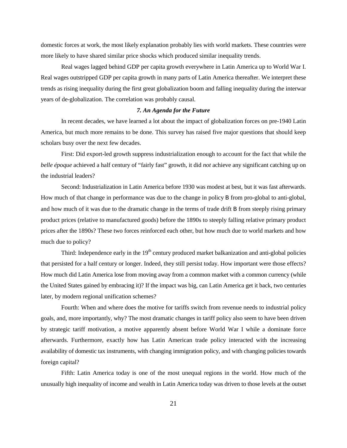domestic forces at work, the most likely explanation probably lies with world markets. These countries were more likely to have shared similar price shocks which produced similar inequality trends.

Real wages lagged behind GDP per capita growth everywhere in Latin America up to World War I. Real wages outstripped GDP per capita growth in many parts of Latin America thereafter. We interpret these trends as rising inequality during the first great globalization boom and falling inequality during the interwar years of de-globalization. The correlation was probably causal.

#### *7. An Agenda for the Future*

In recent decades, we have learned a lot about the impact of globalization forces on pre-1940 Latin America, but much more remains to be done. This survey has raised five major questions that should keep scholars busy over the next few decades.

First: Did export-led growth suppress industrialization enough to account for the fact that while the *belle époque* achieved a half century of "fairly fast" growth, it did *not* achieve any significant catching up on the industrial leaders?

Second: Industrialization in Latin America before 1930 was modest at best, but it was fast afterwards. How much of that change in performance was due to the change in policy B from pro-global to anti-global, and how much of it was due to the dramatic change in the terms of trade drift B from steeply rising primary product prices (relative to manufactured goods) before the 1890s to steeply falling relative primary product prices after the 1890s? These two forces reinforced each other, but how much due to world markets and how much due to policy?

Third: Independence early in the 19<sup>th</sup> century produced market balkanization and anti-global policies that persisted for a half century or longer. Indeed, they still persist today. How important were those effects? How much did Latin America lose from moving away from a common market with a common currency (while the United States gained by embracing it)? If the impact was big, can Latin America get it back, two centuries later, by modern regional unification schemes?

Fourth: When and where does the motive for tariffs switch from revenue needs to industrial policy goals, and, more importantly, why? The most dramatic changes in tariff policy also seem to have been driven by strategic tariff motivation, a motive apparently absent before World War I while a dominate force afterwards. Furthermore, exactly how has Latin American trade policy interacted with the increasing availability of domestic tax instruments, with changing immigration policy, and with changing policies towards foreign capital?

Fifth: Latin America today is one of the most unequal regions in the world. How much of the unusually high inequality of income and wealth in Latin America today was driven to those levels at the outset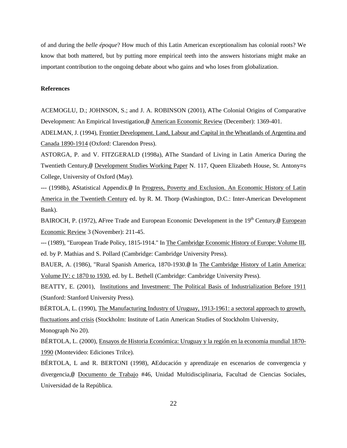of and during the *belle époque*? How much of this Latin American exceptionalism has colonial roots? We know that both mattered, but by putting more empirical teeth into the answers historians might make an important contribution to the ongoing debate about who gains and who loses from globalization.

#### **References**

ACEMOGLU, D.; JOHNSON, S.; and J. A. ROBINSON (2001), AThe Colonial Origins of Comparative Development: An Empirical Investigation,@ American Economic Review (December): 1369-401.

ADELMAN, J. (1994), Frontier Development. Land, Labour and Capital in the Wheatlands of Argentina and Canada 1890-1914 (Oxford: Clarendon Press).

ASTORGA, P. and V. FITZGERALD (1998a), AThe Standard of Living in Latin America During the Twentieth Century,@ Development Studies Working Paper N. 117, Queen Elizabeth House, St. Antony=s College, University of Oxford (May).

--- (1998b), AStatistical Appendix.@ In Progress, Poverty and Exclusion. An Economic History of Latin America in the Twentieth Century ed. by R. M. Thorp (Washington, D.C.: Inter-American Development Bank).

BAIROCH, P. (1972), AFree Trade and European Economic Development in the 19<sup>th</sup> Century,@ European Economic Review 3 (November): 211-45.

--- (1989), "European Trade Policy, 1815-1914." In The Cambridge Economic History of Europe: Volume III, ed. by P. Mathias and S. Pollard (Cambridge: Cambridge University Press).

BAUER, A. (1986), "Rural Spanish America, 1870-1930.@ In The Cambridge History of Latin America: Volume IV: c 1870 to 1930, ed. by L. Bethell (Cambridge: Cambridge University Press).

BEATTY, E. (2001), Institutions and Investment: The Political Basis of Industrialization Before 1911 (Stanford: Stanford University Press).

BÉRTOLA, L. (1990), The Manufacturing Industry of Uruguay, 1913-1961: a sectoral approach to growth, fluctuations and crisis (Stockholm: Institute of Latin American Studies of Stockholm University,

Monograph No 20).

BÉRTOLA, L. (2000), Ensayos de Historia Económica: Uruguay y la región en la economia mundial 1870- 1990 (Montevideo: Ediciones Trilce).

BÉRTOLA, L and R. BERTONI (1998), AEducación y aprendizaje en escenarios de convergencia y divergencia,@ Documento de Trabajo #46, Unidad Multidisciplinaria, Facultad de Ciencias Sociales, Universidad de la República.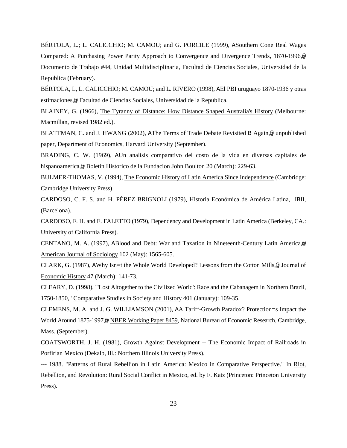BÉRTOLA, L.; L. CALICCHIO; M. CAMOU; and G. PORCILE (1999), ASouthern Cone Real Wages Compared: A Purchasing Power Parity Approach to Convergence and Divergence Trends, 1870-1996,@ Documento de Trabajo #44, Unidad Multidisciplinaria, Facultad de Ciencias Sociales, Universidad de la Republica (February).

BÉRTOLA, L, L. CALICCHIO; M. CAMOU; and L. RIVERO (1998), AEl PBI uruguayo 1870-1936 y otras estimaciones,@ Facultad de Ciencias Sociales, Universidad de la Republica.

BLAINEY, G. (1966), The Tyranny of Distance: How Distance Shaped Australia's History (Melbourne: Macmillan, revised 1982 ed.).

BLATTMAN, C. and J. HWANG (2002), AThe Terms of Trade Debate Revisited B Again,@ unpublished paper, Department of Economics, Harvard University (September).

BRADING, C. W. (1969), AUn analisis comparativo del costo de la vida en diversas capitales de hispanoamerica,@ Boletin Historico de la Fundacion John Boulton 20 (March): 229-63.

BULMER-THOMAS, V. (1994), The Economic History of Latin America Since Independence (Cambridge: Cambridge University Press).

CARDOSO, C. F. S. and H. PÉREZ BRIGNOLI (1979), Historia Económica de América Latina, IBII, (Barcelona).

CARDOSO, F. H. and E. FALETTO (1979), Dependency and Development in Latin America (Berkeley, CA.: University of California Press).

CENTANO, M. A. (1997), ABlood and Debt: War and Taxation in Nineteenth-Century Latin America,@ American Journal of Sociology 102 (May): 1565-605.

CLARK, G. (1987), AWhy Isn=t the Whole World Developed? Lessons from the Cotton Mills,@ Journal of Economic History 47 (March): 141-73.

CLEARY, D. (1998), "'Lost Altogether to the Civilized World': Race and the Cabanagem in Northern Brazil, 1750-1850," Comparative Studies in Society and History 401 (January): 109-35.

CLEMENS, M. A. and J. G. WILLIAMSON (2001), AA Tariff-Growth Paradox? Protection=s Impact the World Around 1875-1997,@ NBER Working Paper 8459, National Bureau of Economic Research, Cambridge, Mass. (September).

COATSWORTH, J. H. (1981), Growth Against Development -- The Economic Impact of Railroads in Porfirian Mexico (Dekalb, Ill.: Northern Illinois University Press).

--- 1988. "Patterns of Rural Rebellion in Latin America: Mexico in Comparative Perspective." In Riot, Rebellion, and Revolution: Rural Social Conflict in Mexico, ed. by F. Katz (Princeton: Princeton University Press).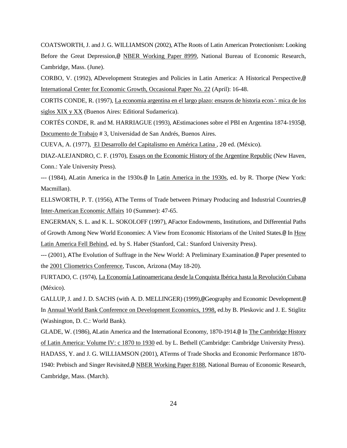COATSWORTH, J. and J. G. WILLIAMSON (2002), AThe Roots of Latin American Protectionism: Looking Before the Great Depression,@ NBER Working Paper 8999, National Bureau of Economic Research, Cambridge, Mass. (June).

CORBO, V. (1992), ADevelopment Strategies and Policies in Latin America: A Historical Perspective,@ International Center for Economic Growth, Occasional Paper No. 22 (April): 16-48.

CORTΙS CONDE, R. (1997), La economia argentina en el largo plazo: ensayos de historia econ∴mica de los siglos XIX y XX (Buenos Aires: Editioral Sudamerica).

CORTÉS CONDE, R. and M. HARRIAGUE (1993), AEstimaciones sobre el PBI en Argentina 1874-1935@, Documento de Trabajo # 3, Universidad de San Andrés, Buenos Aires.

CUEVA, A. (1977), El Desarrollo del Capitalismo en América Latina , 20 ed. (México).

DIAZ-ALEJANDRO, C. F. (1970), Essays on the Economic History of the Argentine Republic (New Haven, Conn.: Yale University Press).

--- (1984), ALatin America in the 1930s.@ In Latin America in the 1930s, ed. by R. Thorpe (New York: Macmillan).

ELLSWORTH, P. T. (1956), AThe Terms of Trade between Primary Producing and Industrial Countries,@ Inter-American Economic Affairs 10 (Summer): 47-65.

ENGERMAN, S. L. and K. L. SOKOLOFF (1997), AFactor Endowments, Institutions, and Differential Paths of Growth Among New World Economies: A View from Economic Historians of the United States.@ In How Latin America Fell Behind, ed. by S. Haber (Stanford, Cal.: Stanford University Press).

--- (2001), AThe Evolution of Suffrage in the New World: A Preliminary Examination.@ Paper presented to the 2001 Cliometrics Conference, Tuscon, Arizona (May 18-20).

FURTADO, C. (1974), La Economía Latinoamericana desde la Conquista Ibérica hasta la Revolución Cubana (México).

GALLUP, J. and J. D. SACHS (with A. D. MELLINGER) (1999),@Geography and Economic Development.@ In Annual World Bank Conference on Development Economics, 1998, ed.by B. Pleskovic and J. E. Stiglitz (Washington, D. C.: World Bank).

GLADE, W. (1986), ALatin America and the International Economy, 1870-1914.@ In The Cambridge History of Latin America: Volume IV: c 1870 to 1930 ed. by L. Bethell (Cambridge: Cambridge University Press).

HADASS, Y. and J. G. WILLIAMSON (2001), ATerms of Trade Shocks and Economic Performance 1870- 1940: Prebisch and Singer Revisited,@ NBER Working Paper 8188, National Bureau of Economic Research, Cambridge, Mass. (March).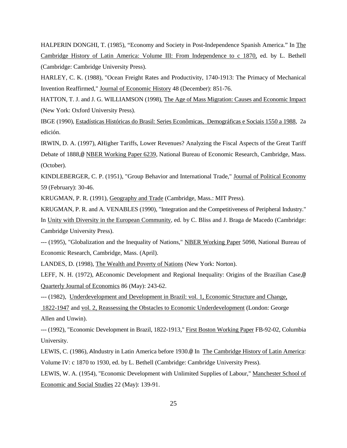HALPERIN DONGHI, T. (1985), "Economy and Society in Post-Independence Spanish America." In The Cambridge History of Latin America: Volume III: From Independence to c 1870, ed. by L. Bethell (Cambridge: Cambridge University Press).

HARLEY, C. K. (1988), "Ocean Freight Rates and Productivity, 1740-1913: The Primacy of Mechanical Invention Reaffirmed," Journal of Economic History 48 (December): 851-76.

HATTON, T. J. and J. G. WILLIAMSON (1998), The Age of Mass Migration: Causes and Economic Impact (New York: Oxford University Press).

IBGE (1990), Estadísticas Históricas do Brasil: Series Econômicas, Demográficas e Sociais 1550 a 1988, 2a edición.

IRWIN, D. A. (1997), AHigher Tariffs, Lower Revenues? Analyzing the Fiscal Aspects of the Great Tariff Debate of 1888,@ NBER Working Paper 6239, National Bureau of Economic Research, Cambridge, Mass. (October).

KINDLEBERGER, C. P. (1951), "Group Behavior and International Trade," Journal of Political Economy 59 (February): 30-46.

KRUGMAN, P. R. (1991), Geography and Trade (Cambridge, Mass.: MIT Press).

KRUGMAN, P. R. and A. VENABLES (1990), "Integration and the Competitiveness of Peripheral Industry." In Unity with Diversity in the European Community, ed. by C. Bliss and J. Braga de Macedo (Cambridge: Cambridge University Press).

--- (1995), "Globalization and the Inequality of Nations," NBER Working Paper 5098, National Bureau of Economic Research, Cambridge, Mass. (April).

LANDES, D. (1998), The Wealth and Poverty of Nations (New York: Norton).

LEFF, N. H. (1972), AEconomic Development and Regional Inequality: Origins of the Brazilian Case,@ Quarterly Journal of Economics 86 (May): 243-62.

--- (1982), Underdevelopment and Development in Brazil: vol. 1, Economic Structure and Change,

 1822-1947 and vol. 2, Reassessing the Obstacles to Economic Underdevelopment (London: George Allen and Unwin).

--- (1992), "Economic Development in Brazil, 1822-1913," First Boston Working Paper FB-92-02, Columbia University.

LEWIS, C. (1986), AIndustry in Latin America before 1930.@ In The Cambridge History of Latin America: Volume IV: c 1870 to 1930, ed. by L. Bethell (Cambridge: Cambridge University Press).

LEWIS, W. A. (1954), "Economic Development with Unlimited Supplies of Labour," Manchester School of Economic and Social Studies 22 (May): 139-91.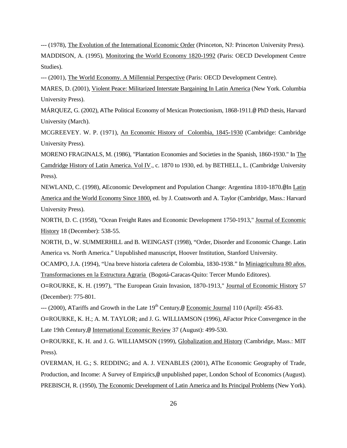--- (1978), The Evolution of the International Economic Order (Princeton, NJ: Princeton University Press). MADDISON, A. (1995), Monitoring the World Economy 1820-1992 (Paris: OECD Development Centre Studies).

--- (2001), The World Economy. A Millennial Perspective (Paris: OECD Development Centre).

MARES, D. (2001), Violent Peace: Militarized Interstate Bargaining In Latin America (New York. Columbia University Press).

MÁRQUEZ, G. (2002), AThe Political Economy of Mexican Protectionism, 1868-1911.@ PhD thesis, Harvard University (March).

MCGREEVEY. W. P. (1971), An Economic History of Colombia, 1845-1930 (Cambridge: Cambridge University Press).

MORENO FRAGINALS, M. (1986), "Plantation Economies and Societies in the Spanish, 1860-1930." In The Camdridge History of Latin America. Vol IV., c. 1870 to 1930, ed. by BETHELL, L. (Cambridge University Press).

NEWLAND, C. (1998), AEconomic Development and Population Change: Argentina 1810-1870.@In Latin America and the World Economy Since 1800, ed. by J. Coatsworth and A. Taylor (Cambridge, Mass.: Harvard University Press).

NORTH, D. C. (1958), "Ocean Freight Rates and Economic Development 1750-1913," Journal of Economic History 18 (December): 538-55.

NORTH, D., W. SUMMERHILL and B. WEINGAST (1998), "Order, Disorder and Economic Change. Latin America vs. North America." Unpublished manuscript, Hoover Institution, Stanford University.

OCAMPO, J.A. (1994), "Una breve historia cafetera de Colombia, 1830-1938." In Miniagricultura 80 años. Transformaciones en la Estructura Agraria (Bogotá-Caracas-Quito: Tercer Mundo Editores).

O=ROURKE, K. H. (1997), "The European Grain Invasion, 1870-1913," Journal of Economic History 57 (December): 775-801.

--- (2000), ATariffs and Growth in the Late 19<sup>th</sup> Century,@ Economic Journal 110 (April): 456-83.

O=ROURKE, K. H.; A. M. TAYLOR; and J. G. WILLIAMSON (1996), AFactor Price Convergence in the Late 19th Century,@ International Economic Review 37 (August): 499-530.

O=ROURKE, K. H. and J. G. WILLIAMSON (1999), Globalization and History (Cambridge, Mass.: MIT Press).

OVERMAN, H. G.; S. REDDING; and A. J. VENABLES (2001), AThe Economic Geography of Trade, Production, and Income: A Survey of Empirics,@ unpublished paper, London School of Economics (August). PREBISCH, R. (1950), The Economic Development of Latin America and Its Principal Problems (New York).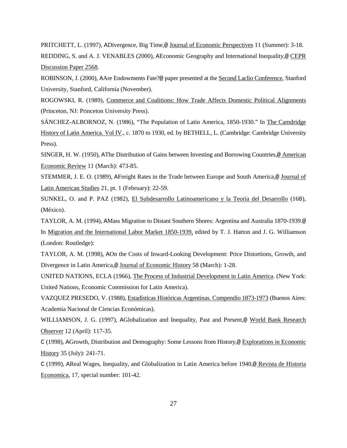PRITCHETT, L. (1997), ADivergence, Big Time,@ Journal of Economic Perspectives 11 (Summer): 3-18. REDDING, S. and A. J. VENABLES (2000), AEconomic Geography and International Inequality,@ CEPR Discussion Paper 2568.

ROBINSON, J. (2000), AAre Endowments Fate?@ paper presented at the Second Laclio Conference, Stanford University, Stanford, California (November).

ROGOWSKI, R. (1989), Commerce and Coalitions: How Trade Affects Domestic Political Alignments (Princeton, NJ: Princeton University Press).

SÁNCHEZ-ALBORNOZ, N. (1986), "The Population of Latin America, 1850-1930." In The Camdridge History of Latin America. Vol IV., c. 1870 to 1930, ed. by BETHELL, L. (Cambridge: Cambridge University Press).

SINGER, H. W. (1950), AThe Distribution of Gains between Investing and Borrowing Countries,@ American Economic Review 11 (March): 473-85.

STEMMER, J. E. O. (1989), AFreight Rates in the Trade between Europe and South America,@ Journal of Latin American Studies 21, pt. 1 (February): 22-59.

SUNKEL, O. and P. PAZ (1982), El Subdesarrollo Latinoamericano y la Teoría del Desarrollo (160), (México).

TAYLOR, A. M. (1994), AMass Migration to Distant Southern Shores: Argentina and Australia 1870-1939.@ In Migration and the International Labor Market 1850-1939, edited by T. J. Hatton and J. G. Williamson (London: Routledge):

TAYLOR, A. M. (1998), AOn the Costs of Inward-Looking Development: Price Distortions, Growth, and Divergence in Latin America,@ Journal of Economic History 58 (March): 1-28.

UNITED NATIONS, ECLA (1966), The Process of Industrial Development in Latin America. (New York: United Nations, Economic Commission for Latin America).

VAZQUEZ PRESEDO, V. (1988), Estadísticas Históricas Argentinas. Compendio 1873-1973 (Buenos Aires: Academia Nacional de Ciencias Económicas).

WILLIAMSON, J. G. (1997), AGlobalization and Inequality, Past and Present,@ World Bank Research Observer 12 (April): 117-35.

C (1998), AGrowth, Distribution and Demography: Some Lessons from History,@ Explorations in Economic History 35 (July): 241-71.

C (1999), AReal Wages, Inequality, and Globalization in Latin America before 1940,@ Revista de Historia Economica, 17, special number: 101-42.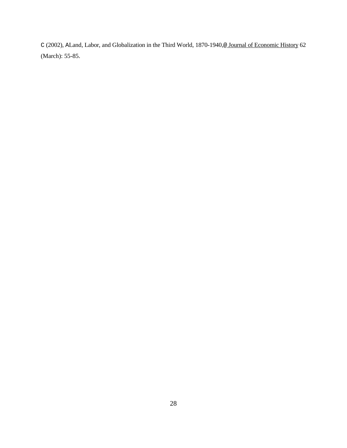C (2002), ALand, Labor, and Globalization in the Third World, 1870-1940,@ Journal of Economic History 62 (March): 55-85.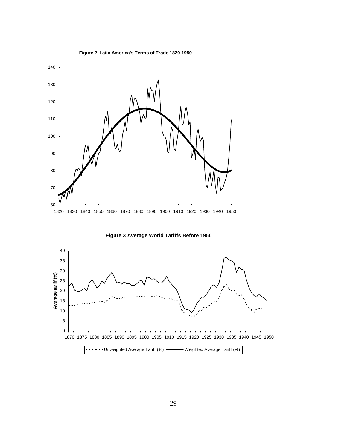

**Figure 3 Average World Tariffs Before 1950**



## **Figure 2 Latin America's Terms of Trade 1820-1950**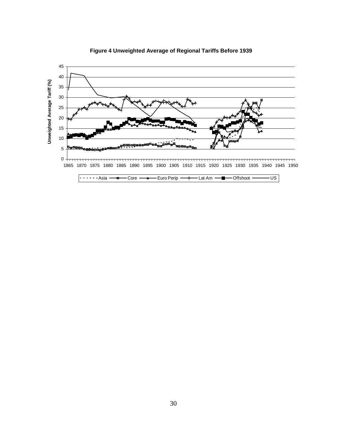

Asia Core Euro Perip Lat Am Offshoot US

# **Figure 4 Unweighted Average of Regional Tariffs Before 1939**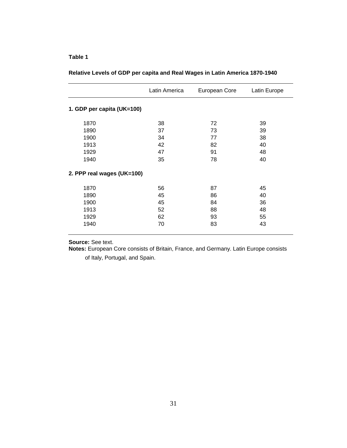# **Table 1**

|                            | Latin America | European Core | Latin Europe |
|----------------------------|---------------|---------------|--------------|
| 1. GDP per capita (UK=100) |               |               |              |
| 1870                       | 38            | 72            | 39           |
| 1890                       | 37            | 73            | 39           |
| 1900                       | 34            | 77            | 38           |
| 1913                       | 42            | 82            | 40           |
| 1929                       | 47            | 91            | 48           |
| 1940                       | 35            | 78            | 40           |
| 2. PPP real wages (UK=100) |               |               |              |
| 1870                       | 56            | 87            | 45           |
| 1890                       | 45            | 86            | 40           |
| 1900                       | 45            | 84            | 36           |
| 1913                       | 52            | 88            | 48           |
| 1929                       | 62            | 93            | 55           |
| 1940                       | 70            | 83            | 43           |

| Relative Levels of GDP per capita and Real Wages in Latin America 1870-1940 |  |  |  |  |
|-----------------------------------------------------------------------------|--|--|--|--|
|                                                                             |  |  |  |  |

**Source:** See text.

**Notes:** European Core consists of Britain, France, and Germany. Latin Europe consists of Italy, Portugal, and Spain.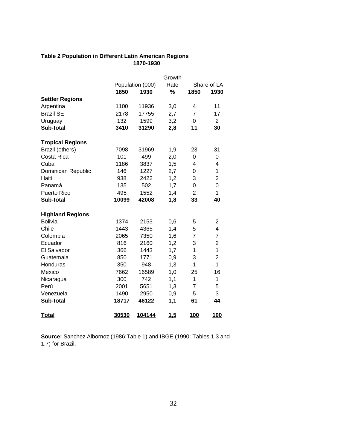# **Table 2 Population in Different Latin American Regions 1870-1930**

|                         | Growth           |        |      |                |                |  |
|-------------------------|------------------|--------|------|----------------|----------------|--|
|                         | Population (000) |        | Rate | Share of LA    |                |  |
|                         | 1850             | 1930   | %    | 1850           | 1930           |  |
| <b>Settler Regions</b>  |                  |        |      |                |                |  |
| Argentina               | 1100             | 11936  | 3,0  | 4              | 11             |  |
| <b>Brazil SE</b>        | 2178             | 17755  | 2,7  | $\overline{7}$ | 17             |  |
| Uruguay                 | 132              | 1599   | 3,2  | 0              | 2              |  |
| Sub-total               | 3410             | 31290  | 2,8  | 11             | 30             |  |
| <b>Tropical Regions</b> |                  |        |      |                |                |  |
| Brazil (others)         | 7098             | 31969  | 1,9  | 23             | 31             |  |
| Costa Rica              | 101              | 499    | 2,0  | 0              | 0              |  |
| Cuba                    | 1186             | 3837   | 1,5  | 4              | 4              |  |
| Dominican Republic      | 146              | 1227   | 2,7  | 0              | 1              |  |
| Haití                   | 938              | 2422   | 1,2  | 3              | $\overline{2}$ |  |
| Panamá                  | 135              | 502    | 1,7  | 0              | 0              |  |
| Puerto Rico             | 495              | 1552   | 1,4  | $\overline{2}$ | 1              |  |
| Sub-total               | 10099            | 42008  | 1,8  | 33             | 40             |  |
| <b>Highland Regions</b> |                  |        |      |                |                |  |
| <b>Bolivia</b>          | 1374             | 2153   | 0,6  | 5              | 2              |  |
| Chile                   | 1443             | 4365   | 1,4  | 5              | 4              |  |
| Colombia                | 2065             | 7350   | 1,6  | $\overline{7}$ | 7              |  |
| Ecuador                 | 816              | 2160   | 1,2  | 3              | $\overline{2}$ |  |
| El Salvador             | 366              | 1443   | 1,7  | 1              | $\mathbf{1}$   |  |
| Guatemala               | 850              | 1771   | 0,9  | 3              | $\overline{2}$ |  |
| Honduras                | 350              | 948    | 1,3  | 1              | $\mathbf{1}$   |  |
| Mexico                  | 7662             | 16589  | 1,0  | 25             | 16             |  |
| Nicaragua               | 300              | 742    | 1,1  | 1              | 1              |  |
| Perú                    | 2001             | 5651   | 1,3  | 7              | 5              |  |
| Venezuela               | 1490             | 2950   | 0,9  | 5              | 3              |  |
| Sub-total               | 18717            | 46122  | 1,1  | 61             | 44             |  |
| <b>Total</b>            | 30530            | 104144 | 1,5  | <u>100</u>     | <u>100</u>     |  |

**Source:** Sanchez Albornoz (1986:Table 1) and IBGE (1990: Tables 1.3 and 1.7) for Brazil.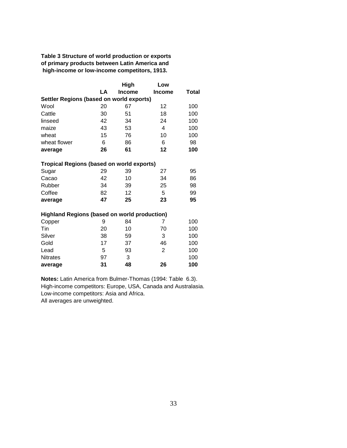**Table 3 Structure of world production or exports of primary products between Latin America and high-income or low-income competitors, 1913.**

|                                                     |    | High          | Low            |       |
|-----------------------------------------------------|----|---------------|----------------|-------|
|                                                     | LA | <b>Income</b> | <b>Income</b>  | Total |
| Settler Regions (based on world exports)            |    |               |                |       |
| Wool                                                | 20 | 67            | 12             | 100   |
| Cattle                                              | 30 | 51            | 18             | 100   |
| linseed                                             | 42 | 34            | 24             | 100   |
| maize                                               | 43 | 53            | 4              | 100   |
| wheat                                               | 15 | 76            | 10             | 100   |
| wheat flower                                        | 6  | 86            | 6              | 98    |
| average                                             | 26 | 61            | 12             | 100   |
| <b>Tropical Regions (based on world exports)</b>    |    |               |                |       |
| Sugar                                               | 29 | 39            | 27             | 95    |
| Cacao                                               | 42 | 10            | 34             | 86    |
| Rubber                                              | 34 | 39            | 25             | 98    |
| Coffee                                              | 82 | 12            | 5              | 99    |
| average                                             | 47 | 25            | 23             | 95    |
| <b>Highland Regions (based on world production)</b> |    |               |                |       |
| Copper                                              | 9  | 84            | $\overline{7}$ | 100   |
| Tin                                                 | 20 | 10            | 70             | 100   |
| Silver                                              | 38 | 59            | 3              | 100   |
| Gold                                                | 17 | 37            | 46             | 100   |
| Lead                                                | 5  | 93            | $\overline{2}$ | 100   |
| <b>Nitrates</b>                                     | 97 | 3             |                | 100   |
| average                                             | 31 | 48            | 26             | 100   |

**Notes:** Latin America from Bulmer-Thomas (1994: Table 6.3). High-income competitors: Europe, USA, Canada and Australasia. Low-income competitors: Asia and Africa.

All averages are unweighted.